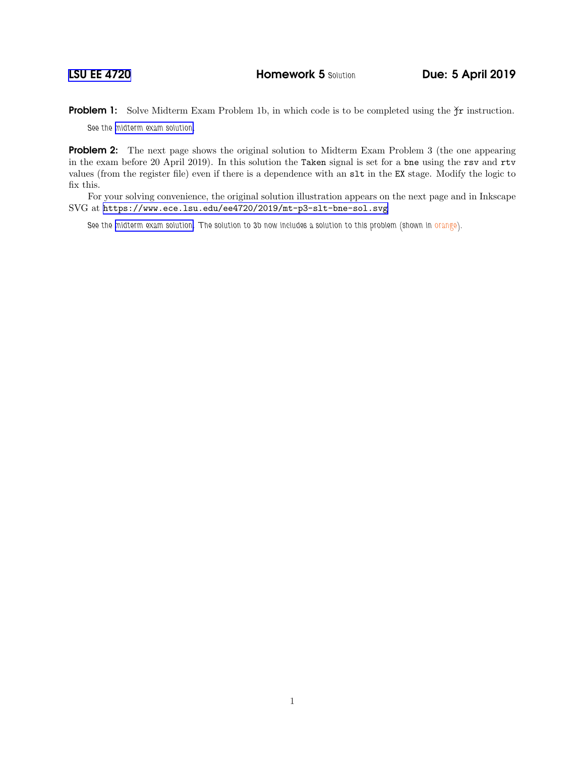**Problem 1:** Solve Midterm Exam Problem 1b, in which code is to be completed using the  $\check{\gamma}$ r instruction. See the [midterm exam solution.](https://www.ece.lsu.edu/ee4720/2019/mt_sol.pdf)

**Problem 2:** The next page shows the original solution to Midterm Exam Problem 3 (the one appearing in the exam before 20 April 2019). In this solution the Taken signal is set for a bne using the rsv and rtv values (from the register file) even if there is a dependence with an slt in the EX stage. Modify the logic to fix this.

For your solving convenience, the original solution illustration appears on the next page and in Inkscape SVG at <https://www.ece.lsu.edu/ee4720/2019/mt-p3-slt-bne-sol.svg>

See the [midterm exam solution.](https://www.ece.lsu.edu/ee4720/2019/mt_sol.pdf) The solution to 3b now includes a solution to this problem (shown in orange).